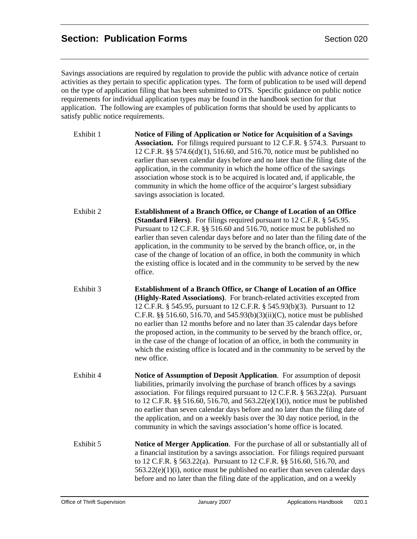# **Section: Publication Forms Section 020**

Savings associations are required by regulation to provide the public with advance notice of certain activities as they pertain to specific application types. The form of publication to be used will depend on the type of application filing that has been submitted to OTS. Specific guidance on public notice requirements for individual application types may be found in the handbook section for that application. The following are examples of publication forms that should be used by applicants to satisfy public notice requirements.

- Exhibit 1 **Notice of Filing of Application or Notice for Acquisition of a Savings Association.** For filings required pursuant to 12 C.F.R. § 574.3. Pursuant to 12 C.F.R. §§ 574.6(d)(1), 516.60, and 516.70, notice must be published no earlier than seven calendar days before and no later than the filing date of the application, in the community in which the home office of the savings association whose stock is to be acquired is located and, if applicable, the community in which the home office of the acquiror's largest subsidiary savings association is located.
- Exhibit 2 **Establishment of a Branch Office, or Change of Location of an Office (Standard Filers)**. For filings required pursuant to 12 C.F.R. § 545.95. Pursuant to 12 C.F.R. §§ 516.60 and 516.70, notice must be published no earlier than seven calendar days before and no later than the filing date of the application, in the community to be served by the branch office, or, in the case of the change of location of an office, in both the community in which the existing office is located and in the community to be served by the new office.
- Exhibit 3 **Establishment of a Branch Office, or Change of Location of an Office (Highly-Rated Associations)**. For branch-related activities excepted from 12 C.F.R. § 545.95, pursuant to 12 C.F.R. § 545.93(b)(3). Pursuant to 12 C.F.R.  $\S$ § 516.60, 516.70, and 545.93(b)(3)(ii)(C), notice must be published no earlier than 12 months before and no later than 35 calendar days before the proposed action, in the community to be served by the branch office, or, in the case of the change of location of an office, in both the community in which the existing office is located and in the community to be served by the new office.
- Exhibit 4 **Notice of Assumption of Deposit Application**. For assumption of deposit liabilities, primarily involving the purchase of branch offices by a savings association. For filings required pursuant to 12 C.F.R. § 563.22(a). Pursuant to 12 C.F.R. §§ 516.60, 516.70, and 563.22(e)(1)(i), notice must be published no earlier than seven calendar days before and no later than the filing date of the application, and on a weekly basis over the 30 day notice period, in the community in which the savings association's home office is located.
- Exhibit 5 **Notice of Merger Application**. For the purchase of all or substantially all of a financial institution by a savings association. For filings required pursuant to 12 C.F.R. § 563.22(a). Pursuant to 12 C.F.R. §§ 516.60, 516.70, and  $563.22(e)(1)(i)$ , notice must be published no earlier than seven calendar days before and no later than the filing date of the application, and on a weekly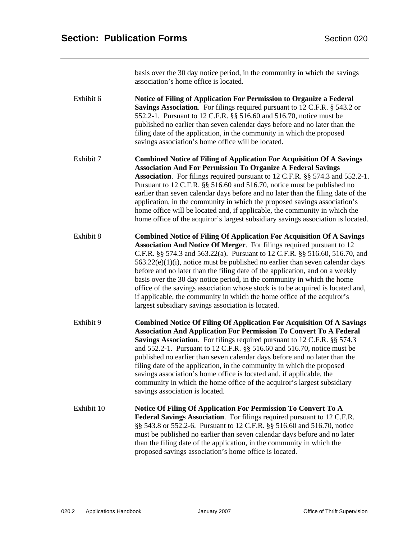basis over the 30 day notice period, in the community in which the savings association's home office is located.

Exhibit 6 **Notice of Filing of Application For Permission to Organize a Federal Savings Association**. For filings required pursuant to 12 C.F.R. § 543.2 or 552.2-1. Pursuant to 12 C.F.R. §§ 516.60 and 516.70, notice must be published no earlier than seven calendar days before and no later than the filing date of the application, in the community in which the proposed savings association's home office will be located.

Exhibit 7 **Combined Notice of Filing of Application For Acquisition Of A Savings Association And For Permission To Organize A Federal Savings Association**. For filings required pursuant to 12 C.F.R. §§ 574.3 and 552.2-1. Pursuant to 12 C.F.R. §§ 516.60 and 516.70, notice must be published no earlier than seven calendar days before and no later than the filing date of the application, in the community in which the proposed savings association's home office will be located and, if applicable, the community in which the home office of the acquiror's largest subsidiary savings association is located.

Exhibit 8 **Combined Notice of Filing Of Application For Acquisition Of A Savings Association And Notice Of Merger**. For filings required pursuant to 12 C.F.R. §§ 574.3 and 563.22(a). Pursuant to 12 C.F.R. §§ 516.60, 516.70, and 563.22(e)(1)(i), notice must be published no earlier than seven calendar days before and no later than the filing date of the application, and on a weekly basis over the 30 day notice period, in the community in which the home office of the savings association whose stock is to be acquired is located and, if applicable, the community in which the home office of the acquiror's largest subsidiary savings association is located.

Exhibit 9 **Combined Notice Of Filing Of Application For Acquisition Of A Savings Association And Application For Permission To Convert To A Federal Savings Association**. For filings required pursuant to 12 C.F.R. §§ 574.3 and 552.2-1. Pursuant to 12 C.F.R. §§ 516.60 and 516.70, notice must be published no earlier than seven calendar days before and no later than the filing date of the application, in the community in which the proposed savings association's home office is located and, if applicable, the community in which the home office of the acquiror's largest subsidiary savings association is located.

Exhibit 10 **Notice Of Filing Of Application For Permission To Convert To A Federal Savings Association**. For filings required pursuant to 12 C.F.R. §§ 543.8 or 552.2-6. Pursuant to 12 C.F.R. §§ 516.60 and 516.70, notice must be published no earlier than seven calendar days before and no later than the filing date of the application, in the community in which the proposed savings association's home office is located.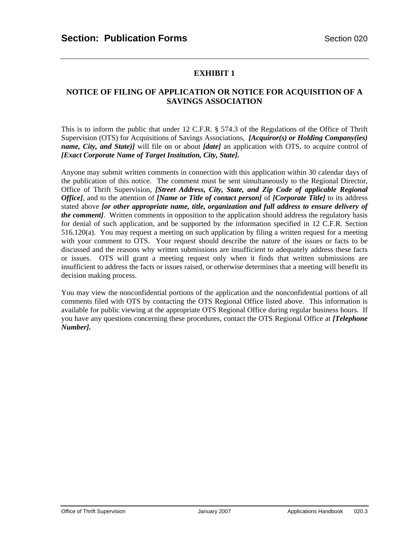### **NOTICE OF FILING OF APPLICATION OR NOTICE FOR ACQUISITION OF A SAVINGS ASSOCIATION**

This is to inform the public that under 12 C.F.R. § 574.3 of the Regulations of the Office of Thrift Supervision (OTS) for Acquisitions of Savings Associations, *[Acquiror(s) or Holding Company(ies) name, City, and State)]* will file on or about *[date]* an application with OTS, to acquire control of *[Exact Corporate Name of Target Institution, City, State].* 

Anyone may submit written comments in connection with this application within 30 calendar days of the publication of this notice. The comment must be sent simultaneously to the Regional Director, Office of Thrift Supervision, *[Street Address, City, State, and Zip Code of applicable Regional Office]*, and to the attention of *[Name or Title of contact person]* of *[Corporate Title]* to its address stated above *[or other appropriate name, title, organization and full address to ensure delivery of the comment]*. Written comments in opposition to the application should address the regulatory basis for denial of such application, and be supported by the information specified in 12 C.F.R. Section 516.120(a). You may request a meeting on such application by filing a written request for a meeting with your comment to OTS. Your request should describe the nature of the issues or facts to be discussed and the reasons why written submissions are insufficient to adequately address these facts or issues. OTS will grant a meeting request only when it finds that written submissions are insufficient to address the facts or issues raised, or otherwise determines that a meeting will benefit its decision making process.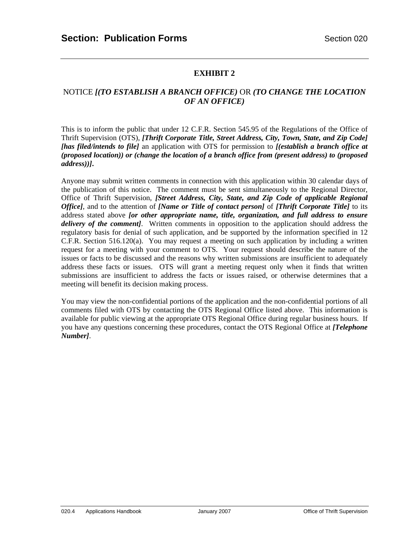### NOTICE *[(TO ESTABLISH A BRANCH OFFICE)* OR *(TO CHANGE THE LOCATION OF AN OFFICE)*

This is to inform the public that under 12 C.F.R. Section 545.95 of the Regulations of the Office of Thrift Supervision (OTS), *[Thrift Corporate Title, Street Address, City, Town, State, and Zip Code] [has filed/intends to file]* an application with OTS for permission to *[(establish a branch office at (proposed location)) or (change the location of a branch office from (present address) to (proposed address))]***.** 

Anyone may submit written comments in connection with this application within 30 calendar days of the publication of this notice. The comment must be sent simultaneously to the Regional Director, Office of Thrift Supervision, *[Street Address, City, State, and Zip Code of applicable Regional Office]*, and to the attention of *[Name or Title of contact person]* of *[Thrift Corporate Title]* to its address stated above *[or other appropriate name, title, organization, and full address to ensure delivery of the comment]*. Written comments in opposition to the application should address the regulatory basis for denial of such application, and be supported by the information specified in 12 C.F.R. Section 516.120(a). You may request a meeting on such application by including a written request for a meeting with your comment to OTS. Your request should describe the nature of the issues or facts to be discussed and the reasons why written submissions are insufficient to adequately address these facts or issues. OTS will grant a meeting request only when it finds that written submissions are insufficient to address the facts or issues raised, or otherwise determines that a meeting will benefit its decision making process.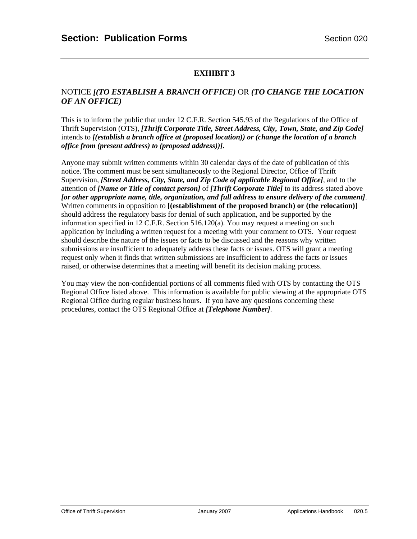#### NOTICE *[(TO ESTABLISH A BRANCH OFFICE)* OR *(TO CHANGE THE LOCATION OF AN OFFICE)*

This is to inform the public that under 12 C.F.R. Section 545.93 of the Regulations of the Office of Thrift Supervision (OTS), *[Thrift Corporate Title, Street Address, City, Town, State, and Zip Code]*  intends to *[(establish a branch office at (proposed location)) or (change the location of a branch office from (present address) to (proposed address))]***.** 

Anyone may submit written comments within 30 calendar days of the date of publication of this notice. The comment must be sent simultaneously to the Regional Director, Office of Thrift Supervision, *[Street Address, City, State, and Zip Code of applicable Regional Office]*, and to the attention of *[Name or Title of contact person]* of *[Thrift Corporate Title]* to its address stated above *[or other appropriate name, title, organization, and full address to ensure delivery of the comment]*. Written comments in opposition to **[(establishment of the proposed branch) or (the relocation)]**  should address the regulatory basis for denial of such application, and be supported by the information specified in 12 C.F.R. Section 516.120(a). You may request a meeting on such application by including a written request for a meeting with your comment to OTS. Your request should describe the nature of the issues or facts to be discussed and the reasons why written submissions are insufficient to adequately address these facts or issues. OTS will grant a meeting request only when it finds that written submissions are insufficient to address the facts or issues raised, or otherwise determines that a meeting will benefit its decision making process.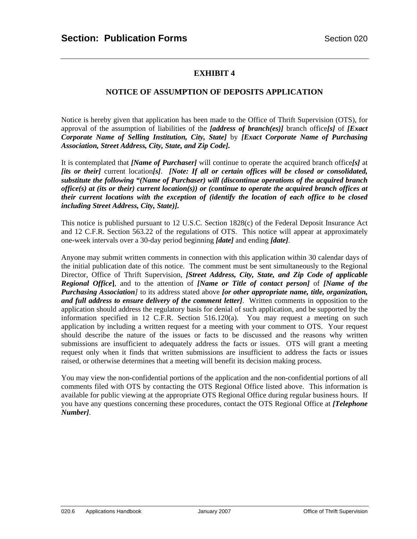#### **NOTICE OF ASSUMPTION OF DEPOSITS APPLICATION**

Notice is hereby given that application has been made to the Office of Thrift Supervision (OTS), for approval of the assumption of liabilities of the *[address of branch(es)]* branch office*[s]* of *[Exact Corporate Name of Selling Institution, City, State]* by *[Exact Corporate Name of Purchasing Association, Street Address, City, State, and Zip Code].*

It is contemplated that *[Name of Purchaser]* will continue to operate the acquired branch office*[s]* at *[its or their]* current location*[s]*. *[Note: If all or certain offices will be closed or consolidated, substitute the following "(Name of Purchaser) will (discontinue operations of the acquired branch office(s) at (its or their) current location(s)) or (continue to operate the acquired branch offices at their current locations with the exception of (identify the location of each office to be closed including Street Address, City, State)].*

This notice is published pursuant to 12 U.S.C. Section 1828(c) of the Federal Deposit Insurance Act and 12 C.F.R. Section 563.22 of the regulations of OTS. This notice will appear at approximately one-week intervals over a 30-day period beginning *[date]* and ending *[date].*

Anyone may submit written comments in connection with this application within 30 calendar days of the initial publication date of this notice. The comment must be sent simultaneously to the Regional Director, Office of Thrift Supervision, *[Street Address, City, State, and Zip Code of applicable Regional Office***]**, and to the attention of *[Name or Title of contact person]* of *[Name of the Purchasing Association]* to its address stated above *[or other appropriate name, title, organization, and full address to ensure delivery of the comment letter]*. Written comments in opposition to the application should address the regulatory basis for denial of such application, and be supported by the information specified in 12 C.F.R. Section 516.120(a). You may request a meeting on such application by including a written request for a meeting with your comment to OTS. Your request should describe the nature of the issues or facts to be discussed and the reasons why written submissions are insufficient to adequately address the facts or issues. OTS will grant a meeting request only when it finds that written submissions are insufficient to address the facts or issues raised, or otherwise determines that a meeting will benefit its decision making process.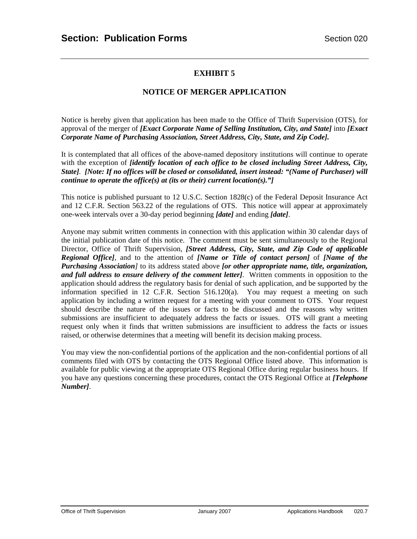#### **NOTICE OF MERGER APPLICATION**

Notice is hereby given that application has been made to the Office of Thrift Supervision (OTS), for approval of the merger of *[Exact Corporate Name of Selling Institution, City, and State]* into *[Exact Corporate Name of Purchasing Association, Street Address, City, State, and Zip Code].*

It is contemplated that all offices of the above-named depository institutions will continue to operate with the exception of *[identify location of each office to be closed including Street Address, City, State]. [Note: If no offices will be closed or consolidated, insert instead: "(Name of Purchaser) will continue to operate the office(s) at (its or their) current location(s)."]*

This notice is published pursuant to 12 U.S.C. Section 1828(c) of the Federal Deposit Insurance Act and 12 C.F.R. Section 563.22 of the regulations of OTS. This notice will appear at approximately one-week intervals over a 30-day period beginning *[date]* and ending *[date]*.

Anyone may submit written comments in connection with this application within 30 calendar days of the initial publication date of this notice. The comment must be sent simultaneously to the Regional Director, Office of Thrift Supervision, *[Street Address, City, State, and Zip Code of applicable Regional Office],* and to the attention of *[Name or Title of contact person]* of *[Name of the Purchasing Association]* to its address stated above *[or other appropriate name, title, organization, and full address to ensure delivery of the comment letter]*. Written comments in opposition to the application should address the regulatory basis for denial of such application, and be supported by the information specified in 12 C.F.R. Section 516.120(a). You may request a meeting on such application by including a written request for a meeting with your comment to OTS. Your request should describe the nature of the issues or facts to be discussed and the reasons why written submissions are insufficient to adequately address the facts or issues. OTS will grant a meeting request only when it finds that written submissions are insufficient to address the facts or issues raised, or otherwise determines that a meeting will benefit its decision making process.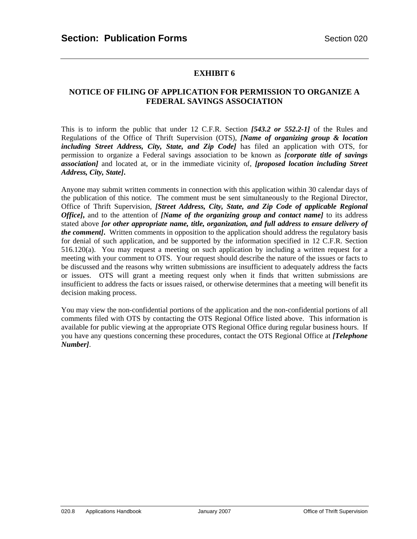#### **NOTICE OF FILING OF APPLICATION FOR PERMISSION TO ORGANIZE A FEDERAL SAVINGS ASSOCIATION**

This is to inform the public that under 12 C.F.R. Section *[543.2 or 552.2-1]* of the Rules and Regulations of the Office of Thrift Supervision (OTS), *[Name of organizing group & location including Street Address, City, State, and Zip Code]* has filed an application with OTS, for permission to organize a Federal savings association to be known as *[corporate title of savings association]* and located at, or in the immediate vicinity of, *[proposed location including Street Address, City, State]***.** 

Anyone may submit written comments in connection with this application within 30 calendar days of the publication of this notice. The comment must be sent simultaneously to the Regional Director, Office of Thrift Supervision, *[Street Address, City, State, and Zip Code of applicable Regional Office]***,** and to the attention of *[Name of the organizing group and contact name]* to its address stated above *[or other appropriate name, title, organization, and full address to ensure delivery of the comment]***.** Written comments in opposition to the application should address the regulatory basis for denial of such application, and be supported by the information specified in 12 C.F.R. Section 516.120(a). You may request a meeting on such application by including a written request for a meeting with your comment to OTS. Your request should describe the nature of the issues or facts to be discussed and the reasons why written submissions are insufficient to adequately address the facts or issues. OTS will grant a meeting request only when it finds that written submissions are insufficient to address the facts or issues raised, or otherwise determines that a meeting will benefit its decision making process.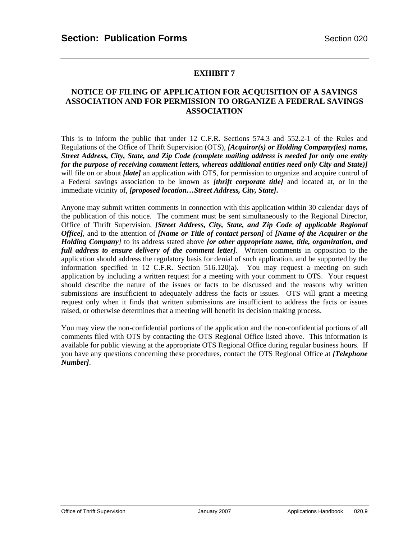#### **NOTICE OF FILING OF APPLICATION FOR ACQUISITION OF A SAVINGS ASSOCIATION AND FOR PERMISSION TO ORGANIZE A FEDERAL SAVINGS ASSOCIATION**

This is to inform the public that under 12 C.F.R. Sections 574.3 and 552.2-1 of the Rules and Regulations of the Office of Thrift Supervision (OTS), *[Acquiror(s) or Holding Company(ies) name, Street Address, City, State, and Zip Code (complete mailing address is needed for only one entity for the purpose of receiving comment letters, whereas additional entities need only City and State)]* will file on or about *[date]* an application with OTS, for permission to organize and acquire control of a Federal savings association to be known as *[thrift corporate title]* and located at, or in the immediate vicinity of, *[proposed location…Street Address, City, State]***.** 

Anyone may submit written comments in connection with this application within 30 calendar days of the publication of this notice. The comment must be sent simultaneously to the Regional Director, Office of Thrift Supervision, *[Street Address, City, State, and Zip Code of applicable Regional Office],* and to the attention of *[Name or Title of contact person]* of *[Name of the Acquirer or the Holding Company]* to its address stated above *[or other appropriate name, title, organization, and full address to ensure delivery of the comment letter]*. Written comments in opposition to the application should address the regulatory basis for denial of such application, and be supported by the information specified in 12 C.F.R. Section 516.120(a). You may request a meeting on such application by including a written request for a meeting with your comment to OTS. Your request should describe the nature of the issues or facts to be discussed and the reasons why written submissions are insufficient to adequately address the facts or issues. OTS will grant a meeting request only when it finds that written submissions are insufficient to address the facts or issues raised, or otherwise determines that a meeting will benefit its decision making process.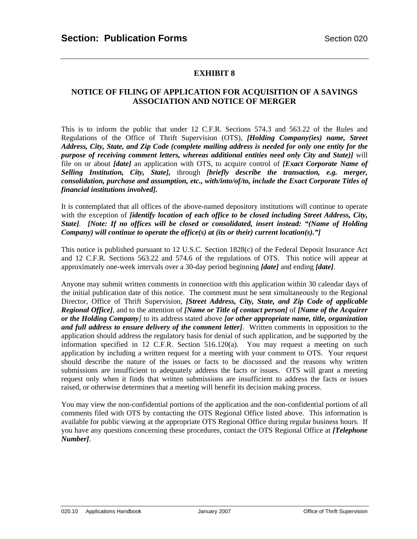#### **NOTICE OF FILING OF APPLICATION FOR ACQUISITION OF A SAVINGS ASSOCIATION AND NOTICE OF MERGER**

This is to inform the public that under 12 C.F.R. Sections 574.3 and 563.22 of the Rules and Regulations of the Office of Thrift Supervision (OTS), *[Holding Company(ies) name, Street Address, City, State, and Zip Code (complete mailing address is needed for only one entity for the purpose of receiving comment letters, whereas additional entities need only City and State)]* will file on or about *[date]* an application with OTS, to acquire control of *[Exact Corporate Name of Selling Institution, City, State],* through *[briefly describe the transaction, e.g. merger, consolidation, purchase and assumption, etc., with/into/of/to, include the Exact Corporate Titles of financial institutions involved].*

It is contemplated that all offices of the above-named depository institutions will continue to operate with the exception of *[identify location of each office to be closed including Street Address, City, State]. [Note: If no offices will be closed or consolidated, insert instead: "(Name of Holding Company) will continue to operate the office(s) at (its or their) current location(s)."]*

This notice is published pursuant to 12 U.S.C. Section 1828(c) of the Federal Deposit Insurance Act and 12 C.F.R. Sections 563.22 and 574.6 of the regulations of OTS. This notice will appear at approximately one-week intervals over a 30-day period beginning *[date]* and ending *[date]*.

Anyone may submit written comments in connection with this application within 30 calendar days of the initial publication date of this notice. The comment must be sent simultaneously to the Regional Director, Office of Thrift Supervision, *[Street Address, City, State, and Zip Code of applicable Regional Office],* and to the attention of *[Name or Title of contact person]* of *[Name of the Acquirer or the Holding Company]* to its address stated above *[or other appropriate name, title, organization and full address to ensure delivery of the comment letter]*. Written comments in opposition to the application should address the regulatory basis for denial of such application, and be supported by the information specified in 12 C.F.R. Section 516.120(a). You may request a meeting on such application by including a written request for a meeting with your comment to OTS. Your request should describe the nature of the issues or facts to be discussed and the reasons why written submissions are insufficient to adequately address the facts or issues. OTS will grant a meeting request only when it finds that written submissions are insufficient to address the facts or issues raised, or otherwise determines that a meeting will benefit its decision making process.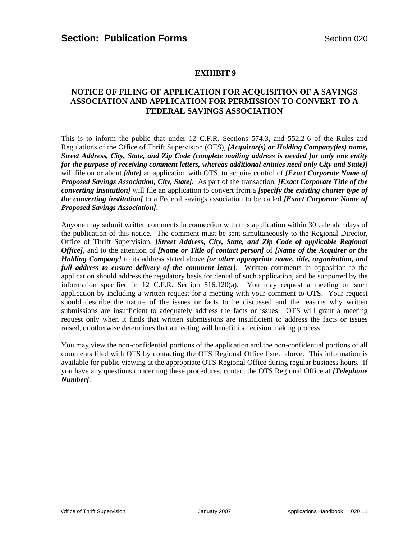#### **NOTICE OF FILING OF APPLICATION FOR ACQUISITION OF A SAVINGS ASSOCIATION AND APPLICATION FOR PERMISSION TO CONVERT TO A FEDERAL SAVINGS ASSOCIATION**

This is to inform the public that under 12 C.F.R. Sections 574.3, and 552.2-6 of the Rules and Regulations of the Office of Thrift Supervision (OTS), *[Acquiror(s) or Holding Company(ies) name, Street Address, City, State, and Zip Code (complete mailing address is needed for only one entity for the purpose of receiving comment letters, whereas additional entities need only City and State)]* will file on or about *[date]* an application with OTS, to acquire control of *[Exact Corporate Name of Proposed Savings Association, City, State].* As part of the transaction, *[Exact Corporate Title of the converting institution]* will file an application to convert from a *[specify the existing charter type of the converting institution]* to a Federal savings association to be called *[Exact Corporate Name of Proposed Savings Association]***.** 

Anyone may submit written comments in connection with this application within 30 calendar days of the publication of this notice. The comment must be sent simultaneously to the Regional Director, Office of Thrift Supervision, *[Street Address, City, State, and Zip Code of applicable Regional Office],* and to the attention of *[Name or Title of contact person]* of *[Name of the Acquirer or the Holding Company]* to its address stated above *[or other appropriate name, title, organization, and full address to ensure delivery of the comment letter]*. Written comments in opposition to the application should address the regulatory basis for denial of such application, and be supported by the information specified in 12 C.F.R. Section 516.120(a). You may request a meeting on such application by including a written request for a meeting with your comment to OTS. Your request should describe the nature of the issues or facts to be discussed and the reasons why written submissions are insufficient to adequately address the facts or issues. OTS will grant a meeting request only when it finds that written submissions are insufficient to address the facts or issues raised, or otherwise determines that a meeting will benefit its decision making process.